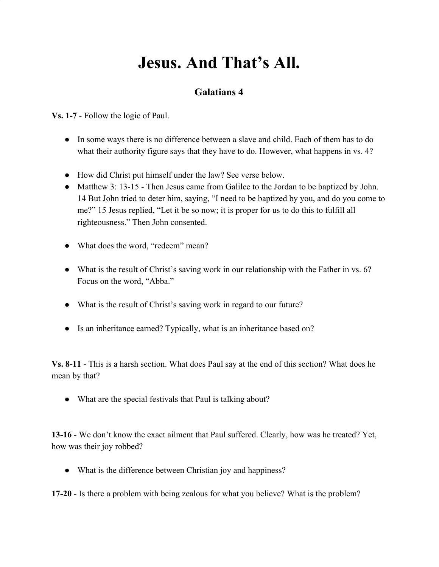## **Jesus. And That's All.**

## **Galatians 4**

**Vs. 1-7** - Follow the logic of Paul.

- In some ways there is no difference between a slave and child. Each of them has to do what their authority figure says that they have to do. However, what happens in vs. 4?
- How did Christ put himself under the law? See verse below.
- Matthew 3: 13-15 Then Jesus came from Galilee to the Jordan to be baptized by John. 14 But John tried to deter him, saying, "I need to be baptized by you, and do you come to me?" 15 Jesus replied, "Let it be so now; it is proper for us to do this to fulfill all righteousness." Then John consented.
- What does the word, "redeem" mean?
- What is the result of Christ's saving work in our relationship with the Father in vs. 6? Focus on the word, "Abba."
- What is the result of Christ's saving work in regard to our future?
- Is an inheritance earned? Typically, what is an inheritance based on?

**Vs. 8-11** - This is a harsh section. What does Paul say at the end of this section? What does he mean by that?

• What are the special festivals that Paul is talking about?

**13-16** - We don't know the exact ailment that Paul suffered. Clearly, how was he treated? Yet, how was their joy robbed?

• What is the difference between Christian joy and happiness?

**17-20** - Is there a problem with being zealous for what you believe? What is the problem?